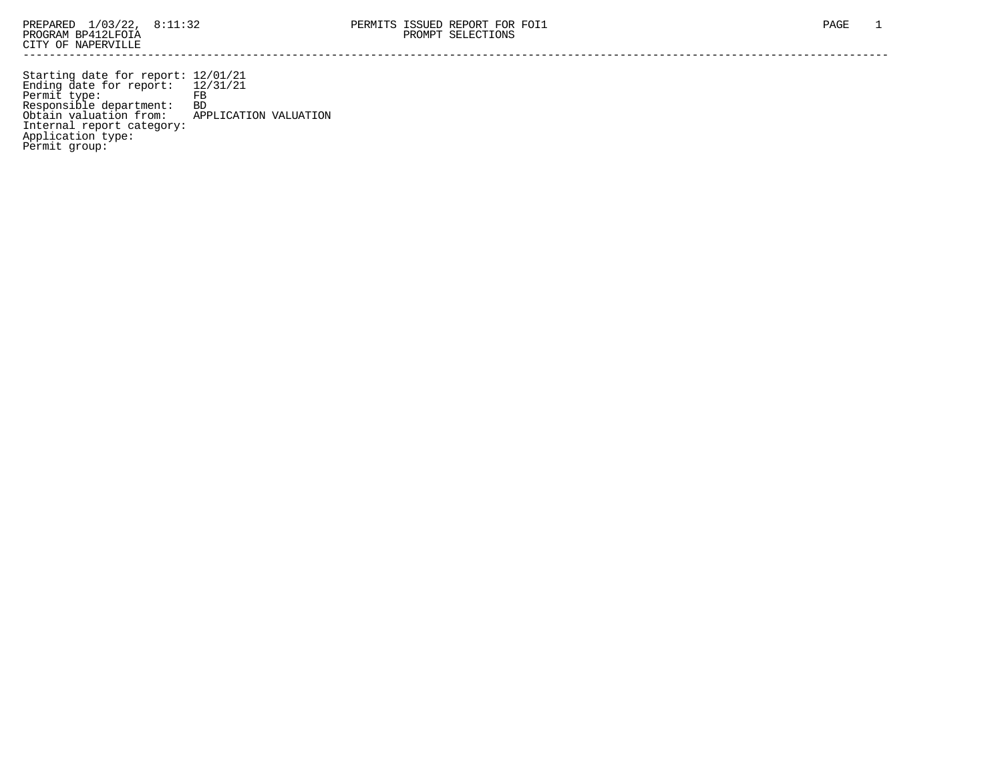Starting date for report: 12/01/21 Ending date for report: 12/31/21 Permit type: FB Responsible department: BD Obtain valuation from: APPLICATION VALUATION Internal report category: Application type: Permit group: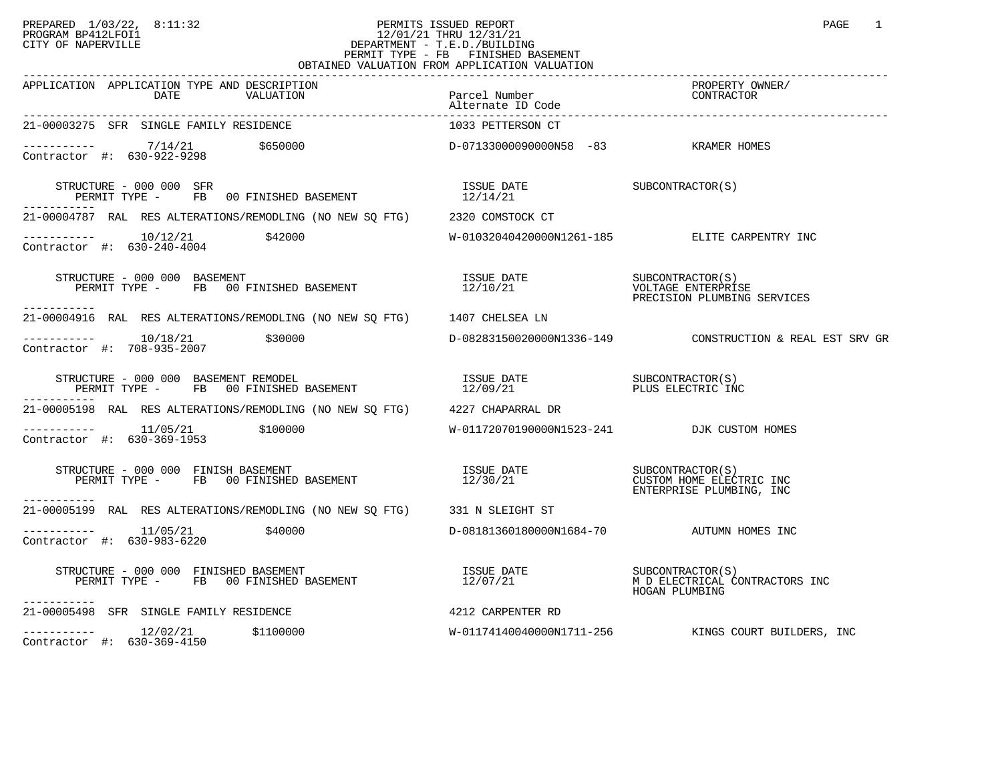## PREPARED 1/03/22, 8:11:32 PERMITS ISSUED REPORT PAGE 1 PROGRAM BP412LFOI1 12/01/21 THRU 12/31/21 CITY OF NAPERVILLE **Example 20** CITY OF NAPERVILLE PERMIT TYPE - FB FINISHED BASEMENT OBTAINED VALUATION FROM APPLICATION VALUATION

| APPLICATION APPLICATION TYPE AND DESCRIPTION<br>DATE<br>VALUATION                                                                                                                                                                                                                                                     | Parcel Number<br>Alternate ID Code         | PROPERTY OWNER/<br>CONTRACTOR                              |
|-----------------------------------------------------------------------------------------------------------------------------------------------------------------------------------------------------------------------------------------------------------------------------------------------------------------------|--------------------------------------------|------------------------------------------------------------|
| 21-00003275 SFR SINGLE FAMILY RESIDENCE                                                                                                                                                                                                                                                                               | 1033 PETTERSON CT                          |                                                            |
| $--------- 7/14/21$ \$650000<br>Contractor #: $630 - 922 - 9298$                                                                                                                                                                                                                                                      | D-07133000090000N58 -83 KRAMER HOMES       |                                                            |
| $\begin{array}{cccc} \texttt{STRUCTURE} & - & 000 & 000 & \texttt{SFR} \\ \texttt{PERMIT TYPE} & - & \texttt{FB} & 00 \texttt{ FINISHED BASEMENT} & & & & 12/14/21 \\ \end{array} \qquad \begin{array}{cccc} \texttt{ISSUE} & \texttt{DATE} & & & \texttt{SUBCONTRACTOR(S)} \\ \texttt{12/14/21} & & & & \end{array}$ |                                            |                                                            |
| 21-00004787 RAL RES ALTERATIONS/REMODLING (NO NEW SQ FTG) 2320 COMSTOCK CT                                                                                                                                                                                                                                            |                                            |                                                            |
| $\begin{array}{cccc}\n-2 & -2 & -2 & -2 \\ \text{Contractor} & +2 & 630 - 240 - 4004 & & & 242000\n\end{array}$                                                                                                                                                                                                       |                                            | W-01032040420000N1261-185 ELITE CARPENTRY INC              |
| STRUCTURE - 000 000 BASEMENT<br>PERMIT TYPE - FB 00 FINISHED BASEMENT 12/10/21 VOLTAGE ENTERPRISE<br>PERMIT TYPE - FB 00 FINISHED BASEMENT 12/10/21 PRECISION PLUMBING SERVICES<br>-----------                                                                                                                        |                                            |                                                            |
| 21-00004916 RAL RES ALTERATIONS/REMODLING (NO NEW SQ FTG) 1407 CHELSEA LN                                                                                                                                                                                                                                             |                                            |                                                            |
| $\begin{tabular}{ll} \texttt{-----} \texttt{---} & 10/18/21 & \texttt{\$30000} \\ \texttt{Contractor} & \texttt{#:} & 708-935-2007 & \\ \end{tabular}$                                                                                                                                                                |                                            | D-08283150020000N1336-149   CONSTRUCTION & REAL EST SRV GR |
| -----------                                                                                                                                                                                                                                                                                                           |                                            |                                                            |
| 21-00005198 RAL RES ALTERATIONS/REMODLING (NO NEW SO FTG) 4227 CHAPARRAL DR                                                                                                                                                                                                                                           |                                            |                                                            |
| $---------$ 11/05/21 \$100000<br>Contractor #: 630-369-1953                                                                                                                                                                                                                                                           | W-01172070190000N1523-241 DJK CUSTOM HOMES |                                                            |
| STRUCTURE - 000 000 FINISH BASEMENT<br>PERMIT TYPE - FB 00 FINISHED BASEMENT 12/30/21 CUSTOM HOME ELECTRIC INC<br>------------                                                                                                                                                                                        |                                            |                                                            |
| 21-00005199 RAL RES ALTERATIONS/REMODLING (NO NEW SQ FTG) 331 N SLEIGHT ST                                                                                                                                                                                                                                            |                                            |                                                            |
| $---------$ 11/05/21 \$40000<br>Contractor #: 630-983-6220                                                                                                                                                                                                                                                            | D-08181360180000N1684-70 AUTUMN HOMES INC  |                                                            |
| STRUCTURE - 000 000 FINISHED BASEMENT                             ISSUE DATE                 SUBCONTRACTOR(S)<br>PERMIT TYPE -      FB   00 FINISHED BASEMENT                       12/07/21                                 HOGA<br>-----------                                                                      |                                            |                                                            |
| 21-00005498 SFR SINGLE FAMILY RESIDENCE 4212 CARPENTER RD                                                                                                                                                                                                                                                             |                                            |                                                            |
|                                                                                                                                                                                                                                                                                                                       |                                            | W-01174140040000N1711-256 KINGS COURT BUILDERS, INC        |